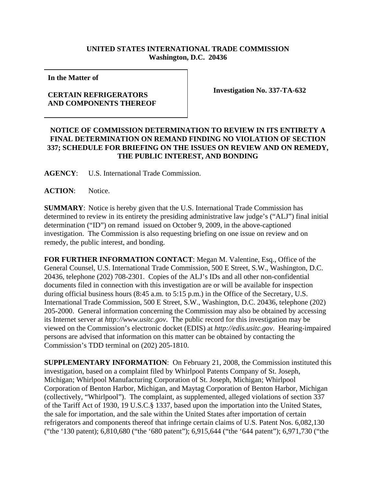## **UNITED STATES INTERNATIONAL TRADE COMMISSION Washington, D.C. 20436**

**In the Matter of** 

## **CERTAIN REFRIGERATORS AND COMPONENTS THEREOF**

**Investigation No. 337-TA-632**

## **NOTICE OF COMMISSION DETERMINATION TO REVIEW IN ITS ENTIRETY A FINAL DETERMINATION ON REMAND FINDING NO VIOLATION OF SECTION 337; SCHEDULE FOR BRIEFING ON THE ISSUES ON REVIEW AND ON REMEDY, THE PUBLIC INTEREST, AND BONDING**

**AGENCY**: U.S. International Trade Commission.

ACTION: Notice.

**SUMMARY**: Notice is hereby given that the U.S. International Trade Commission has determined to review in its entirety the presiding administrative law judge's ("ALJ") final initial determination ("ID") on remand issued on October 9, 2009, in the above-captioned investigation. The Commission is also requesting briefing on one issue on review and on remedy, the public interest, and bonding.

**FOR FURTHER INFORMATION CONTACT**: Megan M. Valentine, Esq., Office of the General Counsel, U.S. International Trade Commission, 500 E Street, S.W., Washington, D.C. 20436, telephone (202) 708-2301. Copies of the ALJ's IDs and all other non-confidential documents filed in connection with this investigation are or will be available for inspection during official business hours (8:45 a.m. to 5:15 p.m.) in the Office of the Secretary, U.S. International Trade Commission, 500 E Street, S.W., Washington, D.C. 20436, telephone (202) 205-2000. General information concerning the Commission may also be obtained by accessing its Internet server at *http://www.usitc.gov*. The public record for this investigation may be viewed on the Commission's electronic docket (EDIS) at *http://edis.usitc.gov*. Hearing-impaired persons are advised that information on this matter can be obtained by contacting the Commission's TDD terminal on (202) 205-1810.

**SUPPLEMENTARY INFORMATION**: On February 21, 2008, the Commission instituted this investigation, based on a complaint filed by Whirlpool Patents Company of St. Joseph, Michigan; Whirlpool Manufacturing Corporation of St. Joseph, Michigan; Whirlpool Corporation of Benton Harbor, Michigan, and Maytag Corporation of Benton Harbor, Michigan (collectively, "Whirlpool"). The complaint, as supplemented, alleged violations of section 337 of the Tariff Act of 1930, 19 U.S.C.§ 1337, based upon the importation into the United States, the sale for importation, and the sale within the United States after importation of certain refrigerators and components thereof that infringe certain claims of U.S. Patent Nos. 6,082,130 ("the '130 patent); 6,810,680 ("the '680 patent"); 6,915,644 ("the '644 patent"); 6,971,730 ("the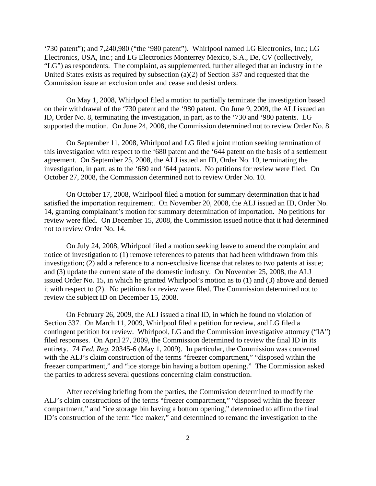'730 patent"); and 7,240,980 ("the '980 patent"). Whirlpool named LG Electronics, Inc.; LG Electronics, USA, Inc.; and LG Electronics Monterrey Mexico, S.A., De, CV (collectively, "LG") as respondents. The complaint, as supplemented, further alleged that an industry in the United States exists as required by subsection (a)(2) of Section 337 and requested that the Commission issue an exclusion order and cease and desist orders.

On May 1, 2008, Whirlpool filed a motion to partially terminate the investigation based on their withdrawal of the '730 patent and the '980 patent. On June 9, 2009, the ALJ issued an ID, Order No. 8, terminating the investigation, in part, as to the '730 and '980 patents. LG supported the motion. On June 24, 2008, the Commission determined not to review Order No. 8.

On September 11, 2008, Whirlpool and LG filed a joint motion seeking termination of this investigation with respect to the '680 patent and the '644 patent on the basis of a settlement agreement. On September 25, 2008, the ALJ issued an ID, Order No. 10, terminating the investigation, in part, as to the '680 and '644 patents. No petitions for review were filed. On October 27, 2008, the Commission determined not to review Order No. 10.

On October 17, 2008, Whirlpool filed a motion for summary determination that it had satisfied the importation requirement. On November 20, 2008, the ALJ issued an ID, Order No. 14, granting complainant's motion for summary determination of importation. No petitions for review were filed. On December 15, 2008, the Commission issued notice that it had determined not to review Order No. 14.

On July 24, 2008, Whirlpool filed a motion seeking leave to amend the complaint and notice of investigation to (1) remove references to patents that had been withdrawn from this investigation; (2) add a reference to a non-exclusive license that relates to two patents at issue; and (3) update the current state of the domestic industry. On November 25, 2008, the ALJ issued Order No. 15, in which he granted Whirlpool's motion as to (1) and (3) above and denied it with respect to (2). No petitions for review were filed. The Commission determined not to review the subject ID on December 15, 2008.

On February 26, 2009, the ALJ issued a final ID, in which he found no violation of Section 337. On March 11, 2009, Whirlpool filed a petition for review, and LG filed a contingent petition for review. Whirlpool, LG and the Commission investigative attorney ("IA") filed responses. On April 27, 2009, the Commission determined to review the final ID in its entirety. 74 *Fed. Reg.* 20345-6 (May 1, 2009). In particular, the Commission was concerned with the ALJ's claim construction of the terms "freezer compartment," "disposed within the freezer compartment," and "ice storage bin having a bottom opening." The Commission asked the parties to address several questions concerning claim construction.

After receiving briefing from the parties, the Commission determined to modify the ALJ's claim constructions of the terms "freezer compartment," "disposed within the freezer compartment," and "ice storage bin having a bottom opening," determined to affirm the final ID's construction of the term "ice maker," and determined to remand the investigation to the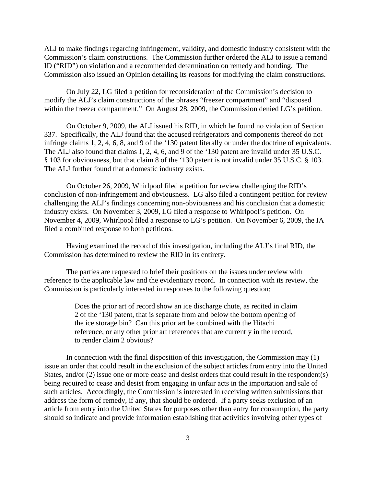ALJ to make findings regarding infringement, validity, and domestic industry consistent with the Commission's claim constructions. The Commission further ordered the ALJ to issue a remand ID ("RID") on violation and a recommended determination on remedy and bonding. The Commission also issued an Opinion detailing its reasons for modifying the claim constructions.

On July 22, LG filed a petition for reconsideration of the Commission's decision to modify the ALJ's claim constructions of the phrases "freezer compartment" and "disposed within the freezer compartment." On August 28, 2009, the Commission denied LG's petition.

On October 9, 2009, the ALJ issued his RID, in which he found no violation of Section 337. Specifically, the ALJ found that the accused refrigerators and components thereof do not infringe claims 1, 2, 4, 6, 8, and 9 of the '130 patent literally or under the doctrine of equivalents. The ALJ also found that claims 1, 2, 4, 6, and 9 of the '130 patent are invalid under 35 U.S.C. § 103 for obviousness, but that claim 8 of the '130 patent is not invalid under 35 U.S.C. § 103. The ALJ further found that a domestic industry exists.

On October 26, 2009, Whirlpool filed a petition for review challenging the RID's conclusion of non-infringement and obviousness. LG also filed a contingent petition for review challenging the ALJ's findings concerning non-obviousness and his conclusion that a domestic industry exists. On November 3, 2009, LG filed a response to Whirlpool's petition. On November 4, 2009, Whirlpool filed a response to LG's petition. On November 6, 2009, the IA filed a combined response to both petitions.

Having examined the record of this investigation, including the ALJ's final RID, the Commission has determined to review the RID in its entirety.

The parties are requested to brief their positions on the issues under review with reference to the applicable law and the evidentiary record. In connection with its review, the Commission is particularly interested in responses to the following question:

> Does the prior art of record show an ice discharge chute, as recited in claim 2 of the '130 patent, that is separate from and below the bottom opening of the ice storage bin? Can this prior art be combined with the Hitachi reference, or any other prior art references that are currently in the record, to render claim 2 obvious?

In connection with the final disposition of this investigation, the Commission may (1) issue an order that could result in the exclusion of the subject articles from entry into the United States, and/or (2) issue one or more cease and desist orders that could result in the respondent(s) being required to cease and desist from engaging in unfair acts in the importation and sale of such articles. Accordingly, the Commission is interested in receiving written submissions that address the form of remedy, if any, that should be ordered. If a party seeks exclusion of an article from entry into the United States for purposes other than entry for consumption, the party should so indicate and provide information establishing that activities involving other types of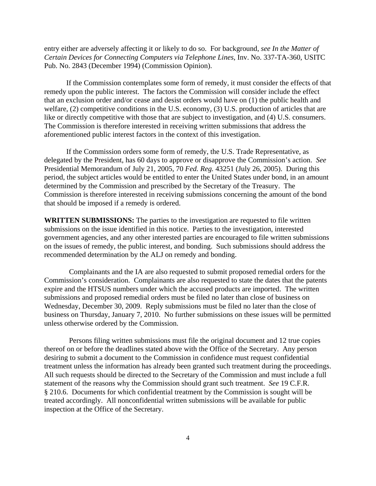entry either are adversely affecting it or likely to do so. For background, *see In the Matter of Certain Devices for Connecting Computers via Telephone Lines*, Inv. No. 337-TA-360, USITC Pub. No. 2843 (December 1994) (Commission Opinion).

If the Commission contemplates some form of remedy, it must consider the effects of that remedy upon the public interest. The factors the Commission will consider include the effect that an exclusion order and/or cease and desist orders would have on (1) the public health and welfare, (2) competitive conditions in the U.S. economy, (3) U.S. production of articles that are like or directly competitive with those that are subject to investigation, and (4) U.S. consumers. The Commission is therefore interested in receiving written submissions that address the aforementioned public interest factors in the context of this investigation.

If the Commission orders some form of remedy, the U.S. Trade Representative, as delegated by the President, has 60 days to approve or disapprove the Commission's action. *See* Presidential Memorandum of July 21, 2005, 70 *Fed. Reg.* 43251 (July 26, 2005). During this period, the subject articles would be entitled to enter the United States under bond, in an amount determined by the Commission and prescribed by the Secretary of the Treasury. The Commission is therefore interested in receiving submissions concerning the amount of the bond that should be imposed if a remedy is ordered.

**WRITTEN SUBMISSIONS:** The parties to the investigation are requested to file written submissions on the issue identified in this notice. Parties to the investigation, interested government agencies, and any other interested parties are encouraged to file written submissions on the issues of remedy, the public interest, and bonding. Such submissions should address the recommended determination by the ALJ on remedy and bonding.

Complainants and the IA are also requested to submit proposed remedial orders for the Commission's consideration. Complainants are also requested to state the dates that the patents expire and the HTSUS numbers under which the accused products are imported. The written submissions and proposed remedial orders must be filed no later than close of business on Wednesday, December 30, 2009. Reply submissions must be filed no later than the close of business on Thursday, January 7, 2010. No further submissions on these issues will be permitted unless otherwise ordered by the Commission.

Persons filing written submissions must file the original document and 12 true copies thereof on or before the deadlines stated above with the Office of the Secretary. Any person desiring to submit a document to the Commission in confidence must request confidential treatment unless the information has already been granted such treatment during the proceedings. All such requests should be directed to the Secretary of the Commission and must include a full statement of the reasons why the Commission should grant such treatment. *See* 19 C.F.R. § 210.6. Documents for which confidential treatment by the Commission is sought will be treated accordingly. All nonconfidential written submissions will be available for public inspection at the Office of the Secretary.